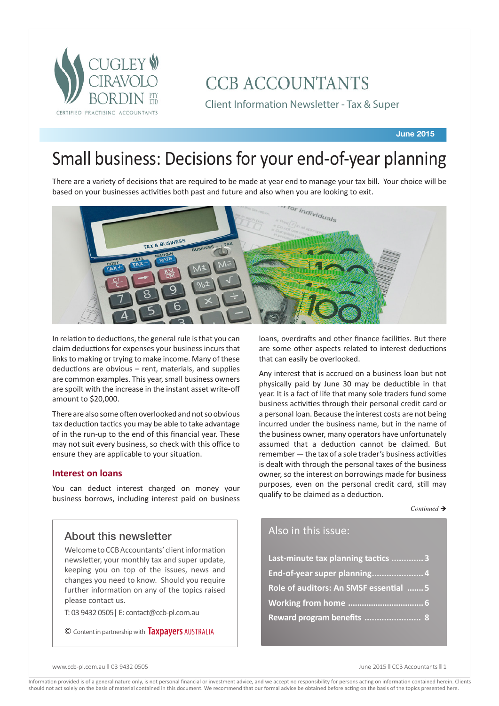

# **CCB ACCOUNTANTS**

Client Information Newsletter - Tax & Super

**June 2015**

# Small business: Decisions for your end-of-year planning

There are a variety of decisions that are required to be made at year end to manage your tax bill. Your choice will be based on your businesses activities both past and future and also when you are looking to exit.



In relation to deductions, the general rule is that you can claim deductions for expenses your business incurs that links to making or trying to make income. Many of these deductions are obvious – rent, materials, and supplies are common examples. This year, small business owners are spoilt with the increase in the instant asset write-off amount to \$20,000.

There are also some often overlooked and not so obvious tax deduction tactics you may be able to take advantage of in the run-up to the end of this financial year. These may not suit every business, so check with this office to ensure they are applicable to your situation.

## **Interest on loans**

You can deduct interest charged on money your business borrows, including interest paid on business

## About this newsletter

Welcome to CCB Accountants' client information newsletter, your monthly tax and super update, keeping you on top of the issues, news and changes you need to know. Should you require further information on any of the topics raised please contact us.

T: 03 9432 0505| E: contact@ccb-pl.com.au

© Content in partnership with **Taxpayers** AUSTRALIA

loans, overdrafts and other finance facilities. But there are some other aspects related to interest deductions that can easily be overlooked.

Any interest that is accrued on a business loan but not physically paid by June 30 may be deductible in that year. It is a fact of life that many sole traders fund some business activities through their personal credit card or a personal loan. Because the interest costs are not being incurred under the business name, but in the name of the business owner, many operators have unfortunately assumed that a deduction cannot be claimed. But remember — the tax of a sole trader's business activities is dealt with through the personal taxes of the business owner, so the interest on borrowings made for business purposes, even on the personal credit card, still may qualify to be claimed as a deduction.

Continued →

## Also in this issue:

| Last-minute tax planning tactics 3     |
|----------------------------------------|
| End-of-year super planning 4           |
| Role of auditors: An SMSF essential  5 |
|                                        |
| Reward program benefits  8             |

www.ccb-pl.com.au || 03 9432 0505 June 2015 || CCB Accountants || 1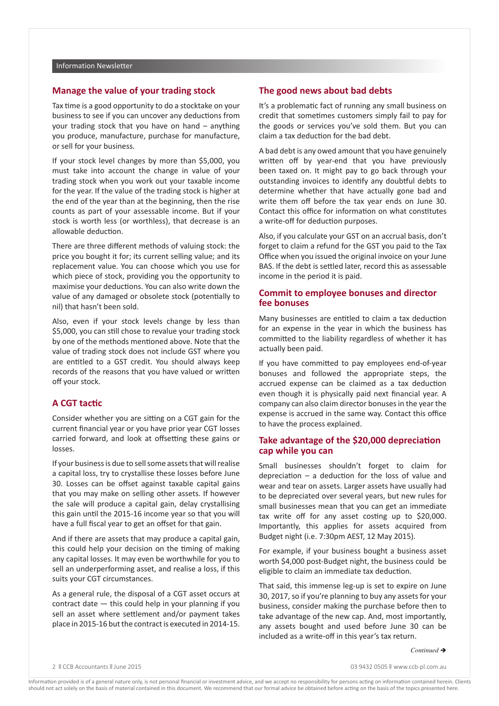## **Manage the value of your trading stock**

Tax time is a good opportunity to do a stocktake on your business to see if you can uncover any deductions from your trading stock that you have on hand – anything you produce, manufacture, purchase for manufacture, or sell for your business.

If your stock level changes by more than \$5,000, you must take into account the change in value of your trading stock when you work out your taxable income for the year. If the value of the trading stock is higher at the end of the year than at the beginning, then the rise counts as part of your assessable income. But if your stock is worth less (or worthless), that decrease is an allowable deduction.

There are three different methods of valuing stock: the price you bought it for; its current selling value; and its replacement value. You can choose which you use for which piece of stock, providing you the opportunity to maximise your deductions. You can also write down the value of any damaged or obsolete stock (potentially to nil) that hasn't been sold.

Also, even if your stock levels change by less than \$5,000, you can still chose to revalue your trading stock by one of the methods mentioned above. Note that the value of trading stock does not include GST where you are entitled to a GST credit. You should always keep records of the reasons that you have valued or written off your stock.

## **A CGT tactic**

Consider whether you are sitting on a CGT gain for the current financial year or you have prior year CGT losses carried forward, and look at offsetting these gains or losses.

If your business is due to sell some assets that will realise a capital loss, try to crystallise these losses before June 30. Losses can be offset against taxable capital gains that you may make on selling other assets. If however the sale will produce a capital gain, delay crystallising this gain until the 2015-16 income year so that you will have a full fiscal year to get an offset for that gain.

And if there are assets that may produce a capital gain, this could help your decision on the timing of making any capital losses. It may even be worthwhile for you to sell an underperforming asset, and realise a loss, if this suits your CGT circumstances.

As a general rule, the disposal of a CGT asset occurs at contract date — this could help in your planning if you sell an asset where settlement and/or payment takes place in 2015-16 but the contract is executed in 2014-15.

## **The good news about bad debts**

It's a problematic fact of running any small business on credit that sometimes customers simply fail to pay for the goods or services you've sold them. But you can claim a tax deduction for the bad debt.

A bad debt is any owed amount that you have genuinely written off by year-end that you have previously been taxed on. It might pay to go back through your outstanding invoices to identify any doubtful debts to determine whether that have actually gone bad and write them off before the tax year ends on June 30. Contact this office for information on what constitutes a write-off for deduction purposes.

Also, if you calculate your GST on an accrual basis, don't forget to claim a refund for the GST you paid to the Tax Office when you issued the original invoice on your June BAS. If the debt is settled later, record this as assessable income in the period it is paid.

## **Commit to employee bonuses and director fee bonuses**

Many businesses are entitled to claim a tax deduction for an expense in the year in which the business has committed to the liability regardless of whether it has actually been paid.

If you have committed to pay employees end-of-year bonuses and followed the appropriate steps, the accrued expense can be claimed as a tax deduction even though it is physically paid next financial year. A company can also claim director bonuses in the year the expense is accrued in the same way. Contact this office to have the process explained.

## **Take advantage of the \$20,000 depreciation cap while you can**

Small businesses shouldn't forget to claim for depreciation – a deduction for the loss of value and wear and tear on assets. Larger assets have usually had to be depreciated over several years, but new rules for small businesses mean that you can get an immediate tax write off for any asset costing up to \$20,000. Importantly, this applies for assets acquired from Budget night (i.e. 7:30pm AEST, 12 May 2015).

For example, if your business bought a business asset worth \$4,000 post-Budget night, the business could be eligible to claim an immediate tax deduction.

That said, this immense leg-up is set to expire on June 30, 2017, so if you're planning to buy any assets for your business, consider making the purchase before then to take advantage of the new cap. And, most importantly, any assets bought and used before June 30 can be included as a write-off in this year's tax return.

#### $Continued \rightarrow$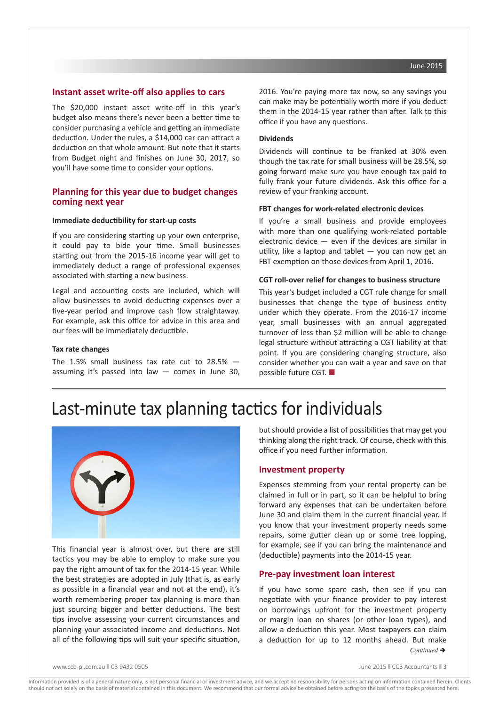### **Instant asset write-off also applies to cars**

The \$20,000 instant asset write-off in this year's budget also means there's never been a better time to consider purchasing a vehicle and getting an immediate deduction. Under the rules, a \$14,000 car can attract a deduction on that whole amount. But note that it starts from Budget night and finishes on June 30, 2017, so you'll have some time to consider your options.

## **Planning for this year due to budget changes coming next year**

#### **Immediate deductibility for start-up costs**

If you are considering starting up your own enterprise, it could pay to bide your time. Small businesses starting out from the 2015-16 income year will get to immediately deduct a range of professional expenses associated with starting a new business.

Legal and accounting costs are included, which will allow businesses to avoid deducting expenses over a five-year period and improve cash flow straightaway. For example, ask this office for advice in this area and our fees will be immediately deductible.

#### **Tax rate changes**

The 1.5% small business tax rate cut to 28.5% assuming it's passed into law — comes in June 30, 2016. You're paying more tax now, so any savings you can make may be potentially worth more if you deduct them in the 2014-15 year rather than after. Talk to this office if you have any questions.

#### **Dividends**

Dividends will continue to be franked at 30% even though the tax rate for small business will be 28.5%, so going forward make sure you have enough tax paid to fully frank your future dividends. Ask this office for a review of your franking account.

#### **FBT changes for work-related electronic devices**

If you're a small business and provide employees with more than one qualifying work-related portable electronic device  $-$  even if the devices are similar in utility, like a laptop and tablet  $-$  you can now get an FBT exemption on those devices from April 1, 2016.

#### **CGT roll-over relief for changes to business structure**

This year's budget included a CGT rule change for small businesses that change the type of business entity under which they operate. From the 2016-17 income year, small businesses with an annual aggregated turnover of less than \$2 million will be able to change legal structure without attracting a CGT liability at that point. If you are considering changing structure, also consider whether you can wait a year and save on that possible future CGT.  $\blacksquare$ 

## Last-minute tax planning tactics for individuals



This financial year is almost over, but there are still tactics you may be able to employ to make sure you pay the right amount of tax for the 2014-15 year. While the best strategies are adopted in July (that is, as early as possible in a financial year and not at the end), it's worth remembering proper tax planning is more than just sourcing bigger and better deductions. The best tips involve assessing your current circumstances and planning your associated income and deductions. Not all of the following tips will suit your specific situation,

but should provide a list of possibilities that may get you thinking along the right track. Of course, check with this office if you need further information.

#### **Investment property**

Expenses stemming from your rental property can be claimed in full or in part, so it can be helpful to bring forward any expenses that can be undertaken before June 30 and claim them in the current financial year. If you know that your investment property needs some repairs, some gutter clean up or some tree lopping, for example, see if you can bring the maintenance and (deductible) payments into the 2014-15 year.

### **Pre-pay investment loan interest**

If you have some spare cash, then see if you can negotiate with your finance provider to pay interest on borrowings upfront for the investment property or margin loan on shares (or other loan types), and allow a deduction this year. Most taxpayers can claim a deduction for up to 12 months ahead. But make *Continued* →

www.ccb-pl.com.au || 03 9432 0505 || 03 0505 || 03 0505 || 03 0505 || 03 0505 || 03 0505 || 03 0505 || 03 0505 || 03 0505 || 03 0505 || 03 0505 || 03 0505 || 03 0505 || 03 0505 || 03 0505 || 03 0505 || 03 0505 || 03 0505 |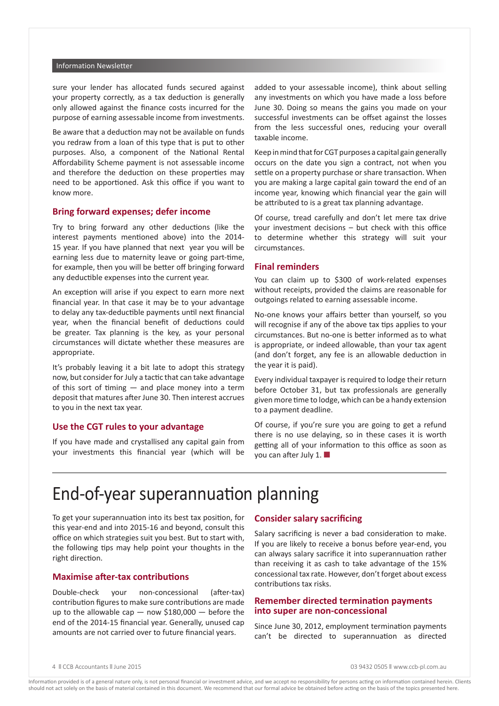#### Information Newsletter

sure your lender has allocated funds secured against your property correctly, as a tax deduction is generally only allowed against the finance costs incurred for the purpose of earning assessable income from investments.

Be aware that a deduction may not be available on funds you redraw from a loan of this type that is put to other purposes. Also, a component of the National Rental Affordability Scheme payment is not assessable income and therefore the deduction on these properties may need to be apportioned. Ask this office if you want to know more.

### **Bring forward expenses; defer income**

Try to bring forward any other deductions (like the interest payments mentioned above) into the 2014- 15 year. If you have planned that next year you will be earning less due to maternity leave or going part-time, for example, then you will be better off bringing forward any deductible expenses into the current year.

An exception will arise if you expect to earn more next financial year. In that case it may be to your advantage to delay any tax-deductible payments until next financial year, when the financial benefit of deductions could be greater. Tax planning is the key, as your personal circumstances will dictate whether these measures are appropriate.

It's probably leaving it a bit late to adopt this strategy now, but consider for July a tactic that can take advantage of this sort of timing  $-$  and place money into a term deposit that matures after June 30. Then interest accrues to you in the next tax year.

## **Use the CGT rules to your advantage**

If you have made and crystallised any capital gain from your investments this financial year (which will be

added to your assessable income), think about selling any investments on which you have made a loss before June 30. Doing so means the gains you made on your successful investments can be offset against the losses from the less successful ones, reducing your overall taxable income.

Keep in mind that for CGT purposes a capital gain generally occurs on the date you sign a contract, not when you settle on a property purchase or share transaction. When you are making a large capital gain toward the end of an income year, knowing which financial year the gain will be attributed to is a great tax planning advantage.

Of course, tread carefully and don't let mere tax drive your investment decisions – but check with this office to determine whether this strategy will suit your circumstances.

#### **Final reminders**

You can claim up to \$300 of work-related expenses without receipts, provided the claims are reasonable for outgoings related to earning assessable income.

No-one knows your affairs better than yourself, so you will recognise if any of the above tax tips applies to your circumstances. But no-one is better informed as to what is appropriate, or indeed allowable, than your tax agent (and don't forget, any fee is an allowable deduction in the year it is paid).

Every individual taxpayer is required to lodge their return before October 31, but tax professionals are generally given more time to lodge, which can be a handy extension to a payment deadline.

Of course, if you're sure you are going to get a refund there is no use delaying, so in these cases it is worth getting all of your information to this office as soon as you can after July 1.  $\blacksquare$ 

## End-of-year superannuation planning

To get your superannuation into its best tax position, for this year-end and into 2015-16 and beyond, consult this office on which strategies suit you best. But to start with, the following tips may help point your thoughts in the right direction.

### **Maximise after-tax contributions**

Double-check your non-concessional (after-tax) contribution figures to make sure contributions are made up to the allowable cap — now \$180,000 — before the end of the 2014-15 financial year. Generally, unused cap amounts are not carried over to future financial years.

## **Consider salary sacrificing**

Salary sacrificing is never a bad consideration to make. If you are likely to receive a bonus before year-end, you can always salary sacrifice it into superannuation rather than receiving it as cash to take advantage of the 15% concessional tax rate. However, don't forget about excess contributions tax risks.

## **Remember directed termination payments into super are non-concessional**

Since June 30, 2012, employment termination payments can't be directed to superannuation as directed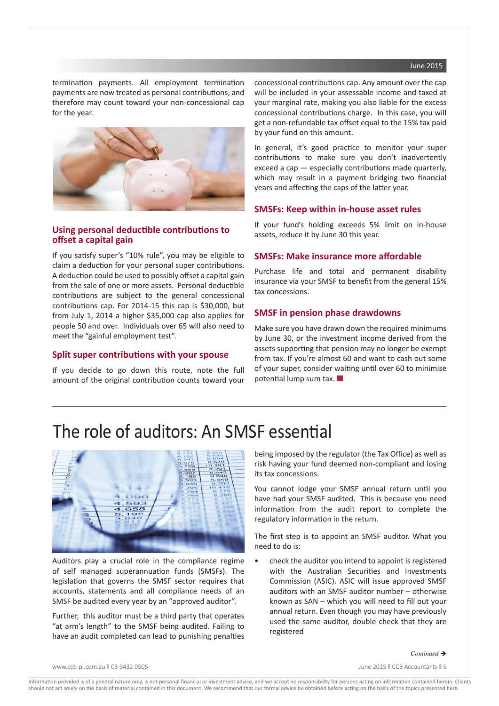#### June 2015

termination payments. All employment termination payments are now treated as personal contributions, and therefore may count toward your non-concessional cap for the year.



## **Using personal deductible contributions to offset a capital gain**

If you satisfy super's "10% rule", you may be eligible to claim a deduction for your personal super contributions. A deduction could be used to possibly offset a capital gain from the sale of one or more assets. Personal deductible contributions are subject to the general concessional contributions cap. For 2014-15 this cap is \$30,000, but from July 1, 2014 a higher \$35,000 cap also applies for people 50 and over. Individuals over 65 will also need to meet the "gainful employment test".

## **Split super contributions with your spouse**

If you decide to go down this route, note the full amount of the original contribution counts toward your concessional contributions cap. Any amount over the cap will be included in your assessable income and taxed at your marginal rate, making you also liable for the excess concessional contributions charge. In this case, you will get a non-refundable tax offset equal to the 15% tax paid by your fund on this amount.

In general, it's good practice to monitor your super contributions to make sure you don't inadvertently exceed a cap — especially contributions made quarterly, which may result in a payment bridging two financial years and affecting the caps of the latter year.

## **SMSFs: Keep within in-house asset rules**

If your fund's holding exceeds 5% limit on in-house assets, reduce it by June 30 this year.

#### **SMSFs: Make insurance more affordable**

Purchase life and total and permanent disability insurance via your SMSF to benefit from the general 15% tax concessions.

## **SMSF in pension phase drawdowns**

Make sure you have drawn down the required minimums by June 30, or the investment income derived from the assets supporting that pension may no longer be exempt from tax. If you're almost 60 and want to cash out some of your super, consider waiting until over 60 to minimise potential lump sum tax.  $\blacksquare$ 

## The role of auditors: An SMSF essential



Auditors play a crucial role in the compliance regime of self managed superannuation funds (SMSFs). The legislation that governs the SMSF sector requires that accounts, statements and all compliance needs of an SMSF be audited every year by an "approved auditor".

Further, this auditor must be a third party that operates "at arm's length" to the SMSF being audited. Failing to have an audit completed can lead to punishing penalties being imposed by the regulator (the Tax Office) as well as risk having your fund deemed non-compliant and losing its tax concessions.

You cannot lodge your SMSF annual return until you have had your SMSF audited. This is because you need information from the audit report to complete the regulatory information in the return.

The first step is to appoint an SMSF auditor. What you need to do is:

• check the auditor you intend to appoint is registered with the Australian Securities and Investments Commission (ASIC). ASIC will issue approved SMSF auditors with an SMSF auditor number – otherwise known as SAN – which you will need to fill out your annual return. Even though you may have previously used the same auditor, double check that they are registered

www.ccb-pl.com.au || 03 9432 0505 || 03 0505 || 03 0505 || 03 0505 || 03 0505 || 03 0605 || 03 0606 || 03 0606 || 03 0606 || 03 0606 || 03 0606 || 03 0606 || 03 0606 || 03 0606 || 03 0606 || 03 0606 || 03 0606 || 03 0606 |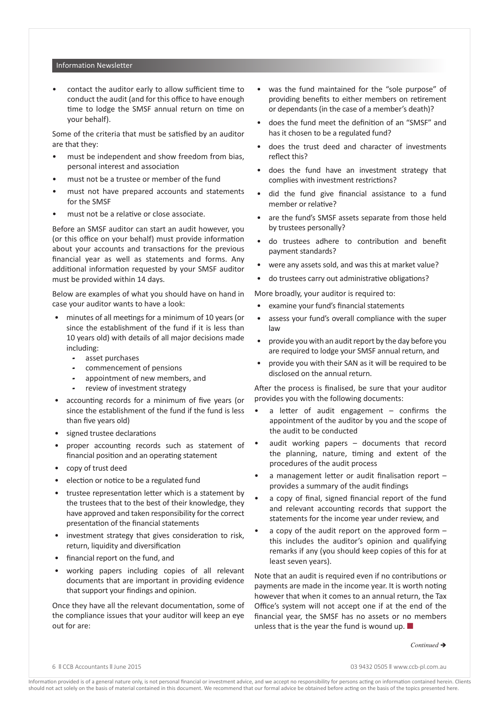#### Information Newsletter

• contact the auditor early to allow sufficient time to conduct the audit (and for this office to have enough time to lodge the SMSF annual return on time on your behalf).

Some of the criteria that must be satisfied by an auditor are that they:

- must be independent and show freedom from bias, personal interest and association
- must not be a trustee or member of the fund
- must not have prepared accounts and statements for the SMSF
- must not be a relative or close associate.

Before an SMSF auditor can start an audit however, you (or this office on your behalf) must provide information about your accounts and transactions for the previous financial year as well as statements and forms. Any additional information requested by your SMSF auditor must be provided within 14 days.

Below are examples of what you should have on hand in case your auditor wants to have a look:

- minutes of all meetings for a minimum of 10 years (or since the establishment of the fund if it is less than 10 years old) with details of all major decisions made including:
	- asset purchases
	- commencement of pensions
	- appointment of new members, and
	- review of investment strategy
- accounting records for a minimum of five years (or since the establishment of the fund if the fund is less than five years old)
- signed trustee declarations
- proper accounting records such as statement of financial position and an operating statement
- copy of trust deed
- election or notice to be a regulated fund
- trustee representation letter which is a statement by the trustees that to the best of their knowledge, they have approved and taken responsibility for the correct presentation of the financial statements
- investment strategy that gives consideration to risk, return, liquidity and diversification
- financial report on the fund, and
- working papers including copies of all relevant documents that are important in providing evidence that support your findings and opinion.

Once they have all the relevant documentation, some of the compliance issues that your auditor will keep an eye out for are:

- was the fund maintained for the "sole purpose" of providing benefits to either members on retirement or dependants (in the case of a member's death)?
- does the fund meet the definition of an "SMSF" and has it chosen to be a regulated fund?
- does the trust deed and character of investments reflect this?
- does the fund have an investment strategy that complies with investment restrictions?
- did the fund give financial assistance to a fund member or relative?
- are the fund's SMSF assets separate from those held by trustees personally?
- do trustees adhere to contribution and benefit payment standards?
- were any assets sold, and was this at market value?
- do trustees carry out administrative obligations?

More broadly, your auditor is required to:

- examine your fund's financial statements
- assess your fund's overall compliance with the super law
- provide you with an audit report by the day before you are required to lodge your SMSF annual return, and
- provide you with their SAN as it will be required to be disclosed on the annual return.

After the process is finalised, be sure that your auditor provides you with the following documents:

- a letter of audit engagement confirms the appointment of the auditor by you and the scope of the audit to be conducted
- audit working papers  $-$  documents that record the planning, nature, timing and extent of the procedures of the audit process
- a management letter or audit finalisation report provides a summary of the audit findings
- a copy of final, signed financial report of the fund and relevant accounting records that support the statements for the income year under review, and
- a copy of the audit report on the approved form  $$ this includes the auditor's opinion and qualifying remarks if any (you should keep copies of this for at least seven years).

Note that an audit is required even if no contributions or payments are made in the income year. It is worth noting however that when it comes to an annual return, the Tax Office's system will not accept one if at the end of the financial year, the SMSF has no assets or no members unless that is the year the fund is wound up.  $\blacksquare$ 

*Continued* è

6 n CCB Accountants n June 2015 03 9432 0505 n www.ccb-pl.com.au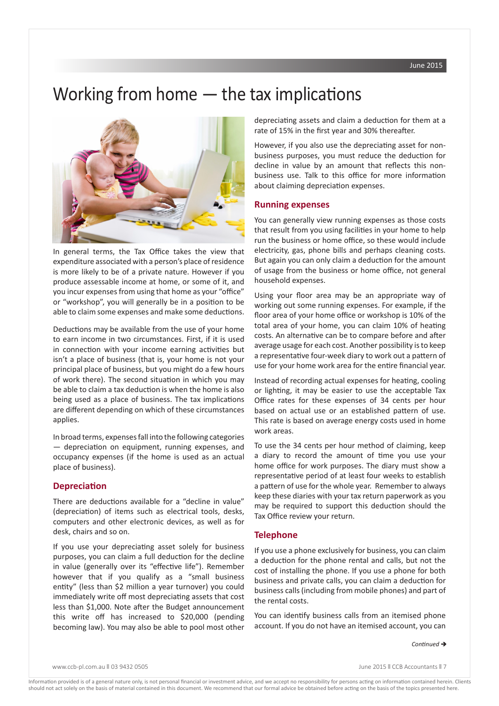## Working from home — the tax implications



In general terms, the Tax Office takes the view that expenditure associated with a person's place of residence is more likely to be of a private nature. However if you produce assessable income at home, or some of it, and you incur expenses from using that home as your "office" or "workshop", you will generally be in a position to be able to claim some expenses and make some deductions.

Deductions may be available from the use of your home to earn income in two circumstances. First, if it is used in connection with your income earning activities but isn't a place of business (that is, your home is not your principal place of business, but you might do a few hours of work there). The second situation in which you may be able to claim a tax deduction is when the home is also being used as a place of business. The tax implications are different depending on which of these circumstances applies.

In broad terms, expenses fall into the following categories — depreciation on equipment, running expenses, and occupancy expenses (if the home is used as an actual place of business).

## **Depreciation**

There are deductions available for a "decline in value" (depreciation) of items such as electrical tools, desks, computers and other electronic devices, as well as for desk, chairs and so on.

If you use your depreciating asset solely for business purposes, you can claim a full deduction for the decline in value (generally over its "effective life"). Remember however that if you qualify as a "small business entity" (less than \$2 million a year turnover) you could immediately write off most depreciating assets that cost less than \$1,000. Note after the Budget announcement this write off has increased to \$20,000 (pending becoming law). You may also be able to pool most other

depreciating assets and claim a deduction for them at a rate of 15% in the first year and 30% thereafter.

However, if you also use the depreciating asset for nonbusiness purposes, you must reduce the deduction for decline in value by an amount that reflects this nonbusiness use. Talk to this office for more information about claiming depreciation expenses.

### **Running expenses**

You can generally view running expenses as those costs that result from you using facilities in your home to help run the business or home office, so these would include electricity, gas, phone bills and perhaps cleaning costs. But again you can only claim a deduction for the amount of usage from the business or home office, not general household expenses.

Using your floor area may be an appropriate way of working out some running expenses. For example, if the floor area of your home office or workshop is 10% of the total area of your home, you can claim 10% of heating costs. An alternative can be to compare before and after average usage for each cost. Another possibility is to keep a representative four-week diary to work out a pattern of use for your home work area for the entire financial year.

Instead of recording actual expenses for heating, cooling or lighting, it may be easier to use the acceptable Tax Office rates for these expenses of 34 cents per hour based on actual use or an established pattern of use. This rate is based on average energy costs used in home work areas.

To use the 34 cents per hour method of claiming, keep a diary to record the amount of time you use your home office for work purposes. The diary must show a representative period of at least four weeks to establish a pattern of use for the whole year. Remember to always keep these diaries with your tax return paperwork as you may be required to support this deduction should the Tax Office review your return.

#### **Telephone**

If you use a phone exclusively for business, you can claim a deduction for the phone rental and calls, but not the cost of installing the phone. If you use a phone for both business and private calls, you can claim a deduction for business calls (including from mobile phones) and part of the rental costs.

You can identify business calls from an itemised phone account. If you do not have an itemised account, you can

 $Continued \rightarrow$